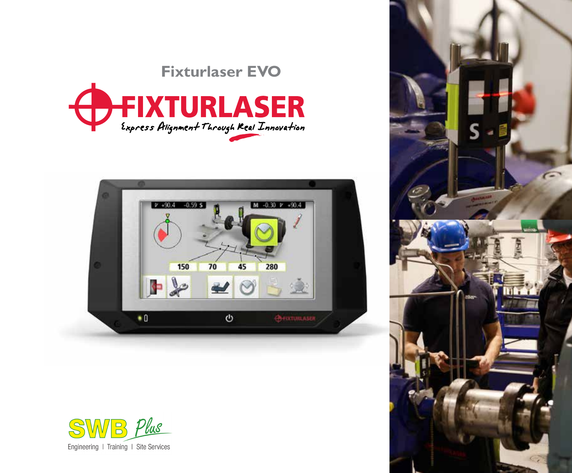# **Fixturlaser EVO**







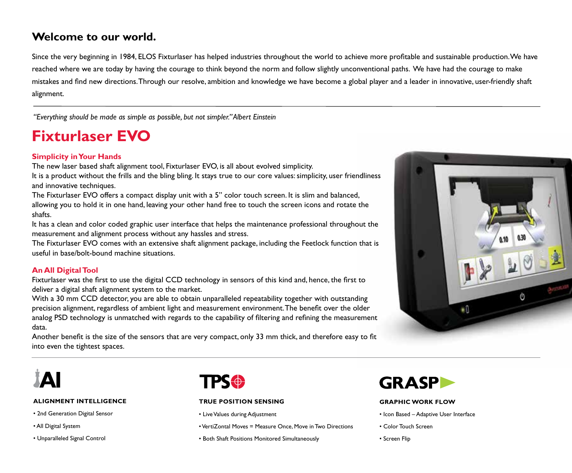## **Welcome to our world.**

Since the very beginning in 1984, ELOS Fixturlaser has helped industries throughout the world to achieve more profitable and sustainable production. We have reached where we are today by having the courage to think beyond the norm and follow slightly unconventional paths. We have had the courage to make mistakes and find new directions. Through our resolve, ambition and knowledge we have become a global player and a leader in innovative, user-friendly shaft alignment.

*"Everything should be made as simple as possible, but not simpler." Albert Einstein*

## **Fixturlaser EVO**

## **Simplicity in Your Hands**

The new laser based shaft alignment tool, Fixturlaser EVO, is all about evolved simplicity.

It is a product without the frills and the bling bling. It stays true to our core values: simplicity, user friendliness and innovative techniques.

The Fixturlaser EVO offers a compact display unit with a 5" color touch screen. It is slim and balanced, allowing you to hold it in one hand, leaving your other hand free to touch the screen icons and rotate the shafts.

It has a clean and color coded graphic user interface that helps the maintenance professional throughout the measurement and alignment process without any hassles and stress.

The Fixturlaser EVO comes with an extensive shaft alignment package, including the Feetlock function that is useful in base/bolt-bound machine situations.

### **An All Digital Tool**

Fixturlaser was the first to use the digital CCD technology in sensors of this kind and, hence, the first to deliver a digital shaft alignment system to the market.

With a 30 mm CCD detector, you are able to obtain unparalleled repeatability together with outstanding precision alignment, regardless of ambient light and measurement environment. The benefit over the older analog PSD technology is unmatched with regards to the capability of filtering and refining the measurement data.

Another benefit is the size of the sensors that are very compact, only 33 mm thick, and therefore easy to fit into even the tightest spaces.





#### **ALIGNMENT INTELLIGENCE**

- � 2nd Generation Digital Sensor
- � All Digital System
- � Unparalleled Signal Control



#### **TRUE POSITION SENSING**

- � Live Values during Adjustment
- � VertiZontal Moves = Measure Once, Move in Two Directions
- � Both Shaft Positions Monitored Simultaneously



#### **GRAPHIC WORK FLOW**

- � Icon Based Adaptive User Interface
- � Color Touch Screen
- � Screen Flip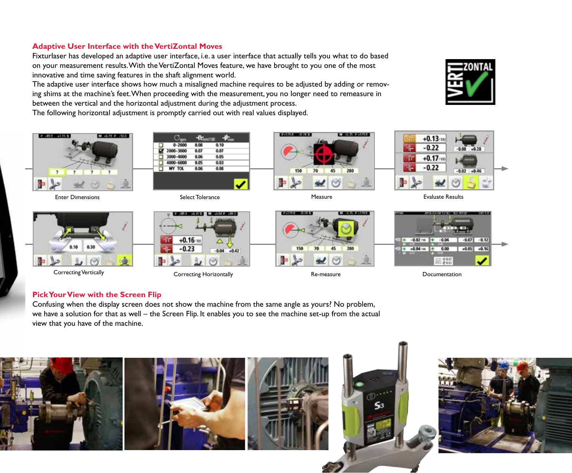## **Adaptive User Interface with the VertiZontal Moves**

Fixturlaser has developed an adaptive user interface, i.e. a user interface that actually tells you what to do based on your measurement results. With the VertiZontal Moves feature, we have brought to you one of the most innovative and time saving features in the shaft alignment world.

The adaptive user interface shows how much a misaligned machine requires to be adjusted by adding or removing shims at the machine's feet. When proceeding with the measurement, you no longer need to remeasure in between the vertical and the horizontal adjustment during the adjustment process.

The following horizontal adjustment is promptly carried out with real values displayed.





Enter Dimensions **Evaluate Results** Select Tolerance **Select Tolerance** Measure **Measure** Evaluate Results



Correcting Vertically Correcting Horizontally Re-measure Documentation



2500人の小人 5

 $+0.16$  $-0.23$ 









## **Pick Your View with the Screen Flip**

Confusing when the display screen does not show the machine from the same angle as yours? No problem, we have a solution for that as well – the Screen Flip. It enables you to see the machine set-up from the actual view that you have of the machine.

 $-0.04 - 0.42$